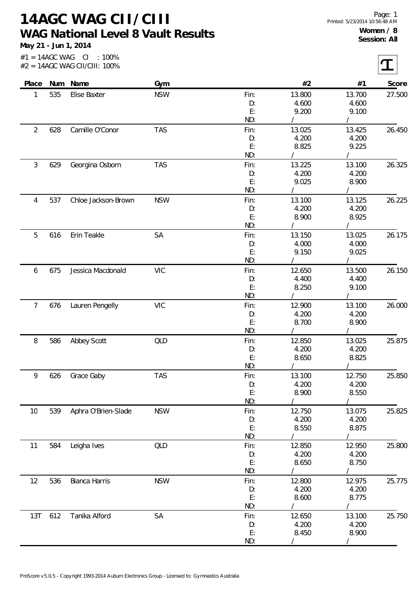## **14AGC WAG CII/CIII WAG National Level 8 Vault Results**

**May 21 - Jun 1, 2014**

 $|\mathbf{T}|$ 

 $#1 = 14AGC WAG CI : 100\%$ #2 = 14AGC WAG CII/CIII: 100%

| Place          | Num | Name                | Gym        |      | #2     | #1     | Score  |
|----------------|-----|---------------------|------------|------|--------|--------|--------|
| 1              | 535 | Elise Baxter        | <b>NSW</b> | Fin: | 13.800 | 13.700 | 27.500 |
|                |     |                     |            | D:   | 4.600  | 4.600  |        |
|                |     |                     |            | E:   | 9.200  | 9.100  |        |
|                |     |                     |            | ND:  |        |        |        |
| $\overline{2}$ | 628 | Camille O'Conor     | <b>TAS</b> | Fin: | 13.025 | 13.425 | 26.450 |
|                |     |                     |            | D:   | 4.200  | 4.200  |        |
|                |     |                     |            | E:   | 8.825  | 9.225  |        |
|                |     |                     |            | ND:  |        |        |        |
| 3              | 629 | Georgina Osborn     | <b>TAS</b> | Fin: | 13.225 | 13.100 | 26.325 |
|                |     |                     |            | D:   | 4.200  | 4.200  |        |
|                |     |                     |            | E:   | 9.025  | 8.900  |        |
|                |     |                     |            | ND:  |        |        |        |
| 4              | 537 | Chloe Jackson-Brown | <b>NSW</b> | Fin: | 13.100 | 13.125 | 26.225 |
|                |     |                     |            | D:   | 4.200  | 4.200  |        |
|                |     |                     |            | E:   | 8.900  | 8.925  |        |
|                |     |                     |            | ND:  |        |        |        |
| 5              | 616 | Erin Teakle         | SA         | Fin: | 13.150 | 13.025 | 26.175 |
|                |     |                     |            | D:   | 4.000  | 4.000  |        |
|                |     |                     |            | E:   | 9.150  | 9.025  |        |
|                |     |                     |            | ND:  |        |        |        |
| 6              | 675 | Jessica Macdonald   | <b>VIC</b> | Fin: | 12.650 | 13.500 | 26.150 |
|                |     |                     |            | D:   | 4.400  | 4.400  |        |
|                |     |                     |            | E:   | 8.250  | 9.100  |        |
|                |     |                     |            | ND:  |        |        |        |
| 7              | 676 | Lauren Pengelly     | <b>VIC</b> | Fin: | 12.900 | 13.100 | 26.000 |
|                |     |                     |            | D:   | 4.200  | 4.200  |        |
|                |     |                     |            | E:   | 8.700  | 8.900  |        |
|                |     |                     |            | ND:  |        |        |        |
| 8              | 586 | Abbey Scott         | QLD        | Fin: | 12.850 | 13.025 | 25.875 |
|                |     |                     |            | D:   | 4.200  | 4.200  |        |
|                |     |                     |            | E:   | 8.650  | 8.825  |        |
|                |     |                     |            | ND:  |        |        |        |
| 9              | 626 | Grace Gaby          | <b>TAS</b> | Fin: | 13.100 | 12.750 | 25.850 |
|                |     |                     |            | D:   | 4.200  | 4.200  |        |
|                |     |                     |            | E:   | 8.900  | 8.550  |        |
|                |     |                     |            | ND:  |        |        |        |
| 10             | 539 | Aphra O'Brien-Slade | <b>NSW</b> | Fin: | 12.750 | 13.075 | 25.825 |
|                |     |                     |            | D:   | 4.200  | 4.200  |        |
|                |     |                     |            | E:   | 8.550  | 8.875  |        |
|                |     |                     |            | ND:  |        |        |        |
| 11             | 584 | Leigha Ives         | QLD        | Fin: | 12.850 | 12.950 | 25.800 |
|                |     |                     |            | D:   | 4.200  | 4.200  |        |
|                |     |                     |            | E:   | 8.650  | 8.750  |        |
|                |     |                     |            | ND:  |        |        |        |
| 12             | 536 | Bianca Harris       | <b>NSW</b> | Fin: | 12.800 | 12.975 | 25.775 |
|                |     |                     |            | D:   | 4.200  | 4.200  |        |
|                |     |                     |            | E:   | 8.600  | 8.775  |        |
|                |     |                     |            | ND:  |        |        |        |
| 13T            | 612 | Tanika Alford       | SA         | Fin: | 12.650 | 13.100 | 25.750 |
|                |     |                     |            | D:   | 4.200  | 4.200  |        |
|                |     |                     |            | E:   | 8.450  | 8.900  |        |
|                |     |                     |            | ND:  |        |        |        |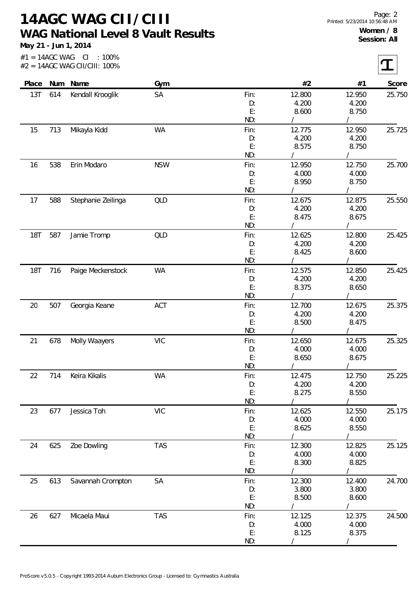## **14AGC WAG CII/CIII WAG National Level 8 Vault Results**

**May 21 - Jun 1, 2014**

| Place      | Num | Name               | Gym        |                | #2              | #1     | Score  |
|------------|-----|--------------------|------------|----------------|-----------------|--------|--------|
| 13T        | 614 | Kendall Krooglik   | SA         | Fin:           | 12.800          | 12.950 | 25.750 |
|            |     |                    |            | D:             | 4.200           | 4.200  |        |
|            |     |                    |            | E:             | 8.600           | 8.750  |        |
|            |     |                    |            | ND:            |                 |        |        |
| 15         | 713 | Mikayla Kidd       | WA         | Fin:           | 12.775          | 12.950 | 25.725 |
|            |     |                    |            | D:             | 4.200           | 4.200  |        |
|            |     |                    |            | E:             | 8.575           | 8.750  |        |
|            |     |                    |            | ND:            |                 |        |        |
| 16         | 538 | Erin Modaro        | <b>NSW</b> | Fin:           | 12.950          | 12.750 | 25.700 |
|            |     |                    |            | D:             | 4.000           | 4.000  |        |
|            |     |                    |            | E:             | 8.950           | 8.750  |        |
|            |     |                    |            | ND:            |                 |        |        |
| 17         | 588 | Stephanie Zeilinga | QLD        | Fin:           | 12.675          | 12.875 | 25.550 |
|            |     |                    |            | D:             | 4.200           | 4.200  |        |
|            |     |                    |            | E:             | 8.475           | 8.675  |        |
|            |     |                    |            | ND:            |                 |        |        |
| <b>18T</b> | 587 | Jamie Tromp        | <b>QLD</b> | Fin:           | 12.625          | 12.800 | 25.425 |
|            |     |                    |            | D:             | 4.200           | 4.200  |        |
|            |     |                    |            | $\mathsf{E}$ : | 8.425           | 8.600  |        |
|            |     |                    |            | ND:            |                 |        |        |
| <b>18T</b> | 716 | Paige Meckenstock  | WA         | Fin:           | 12.575          | 12.850 | 25.425 |
|            |     |                    |            | D:             | 4.200           | 4.200  |        |
|            |     |                    |            | E:             | 8.375           | 8.650  |        |
|            |     |                    |            | ND:            |                 |        |        |
| 20         | 507 | Georgia Keane      | ACT        | Fin:           | 12.700          | 12.675 | 25.375 |
|            |     |                    |            | D:             | 4.200           | 4.200  |        |
|            |     |                    |            | E:             | 8.500           | 8.475  |        |
|            |     |                    |            | ND:            |                 |        |        |
| 21         | 678 | Molly Waayers      | <b>VIC</b> | Fin:           | 12.650          | 12.675 | 25.325 |
|            |     |                    |            | D:             | 4.000           | 4.000  |        |
|            |     |                    |            | E:             | 8.650           | 8.675  |        |
|            |     |                    |            | ND:            |                 |        |        |
| 22         | 714 | Keira Kikalis      | WA         | Fin:           | 12.475          | 12.750 | 25.225 |
|            |     |                    |            | D:             | 4.200           | 4.200  |        |
|            |     |                    |            | E:             | 8.275           | 8.550  |        |
|            |     |                    |            | ND:            |                 |        |        |
| 23         | 677 | Jessica Toh        | <b>VIC</b> | Fin:           | 12.625          | 12.550 | 25.175 |
|            |     |                    |            | D:             | 4.000           | 4.000  |        |
|            |     |                    |            | E:             | 8.625           | 8.550  |        |
|            |     |                    |            | ND:            |                 |        |        |
| 24         | 625 | Zoe Dowling        | <b>TAS</b> | Fin:           | 12.300          | 12.825 | 25.125 |
|            |     |                    |            | D:<br>E:       | 4.000           | 4.000  |        |
|            |     |                    |            | ND:            | 8.300           | 8.825  |        |
| 25         | 613 |                    | SA         |                | 12.300          | 12.400 |        |
|            |     | Savannah Crompton  |            | Fin:           | 3.800           | 3.800  | 24.700 |
|            |     |                    |            | D:<br>E:       | 8.500           | 8.600  |        |
|            |     |                    |            | ND:            |                 |        |        |
|            |     |                    | <b>TAS</b> |                |                 |        |        |
| 26         | 627 | Micaela Maui       |            | Fin:           | 12.125<br>4.000 | 12.375 | 24.500 |
|            |     |                    |            | D:<br>E:       |                 | 4.000  |        |
|            |     |                    |            | ND:            | 8.125           | 8.375  |        |
|            |     |                    |            |                |                 |        |        |